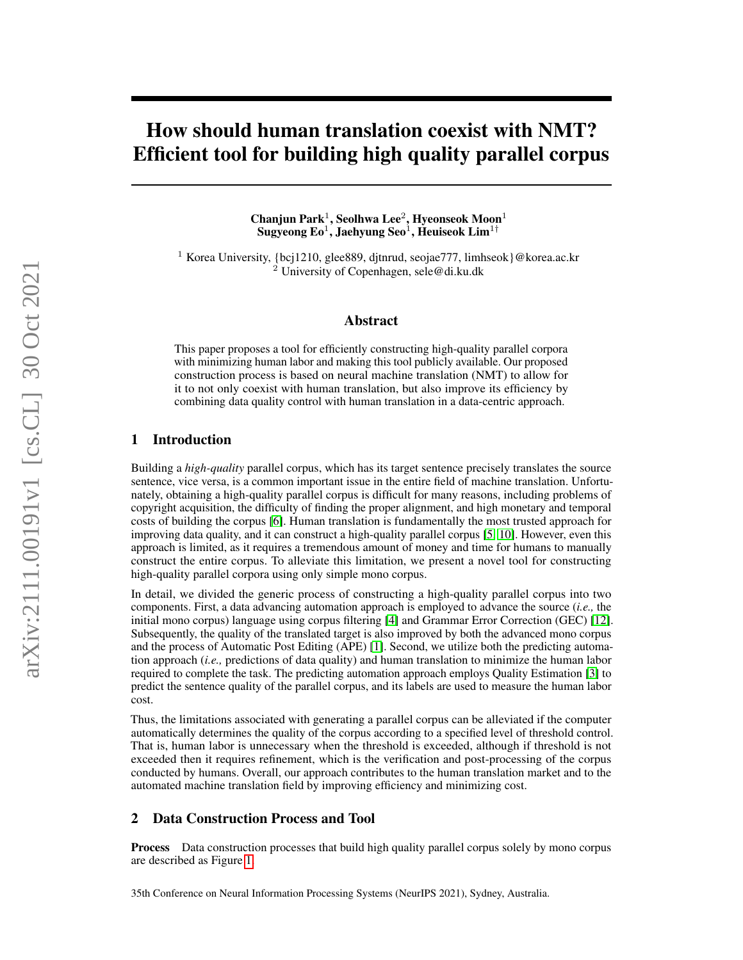# How should human translation coexist with NMT? Efficient tool for building high quality parallel corpus

Chanjun Park<sup>1</sup>, Seolhwa Lee<sup>2</sup>, Hyeonseok Moon<sup>1</sup> Sugyeong Eo<sup>1</sup>, Jaehyung Seo<sup>1</sup>, Heuiseok Lim<sup>1†</sup>

<sup>1</sup> Korea University, {bcj1210, glee889, djtnrud, seojae777, limhseok}@korea.ac.kr <sup>2</sup> University of Copenhagen, sele@di.ku.dk

#### Abstract

This paper proposes a tool for efficiently constructing high-quality parallel corpora with minimizing human labor and making this tool publicly available. Our proposed construction process is based on neural machine translation (NMT) to allow for it to not only coexist with human translation, but also improve its efficiency by combining data quality control with human translation in a data-centric approach.

# 1 Introduction

Building a *high-quality* parallel corpus, which has its target sentence precisely translates the source sentence, vice versa, is a common important issue in the entire field of machine translation. Unfortunately, obtaining a high-quality parallel corpus is difficult for many reasons, including problems of copyright acquisition, the difficulty of finding the proper alignment, and high monetary and temporal costs of building the corpus [\[6\]](#page-2-0). Human translation is fundamentally the most trusted approach for improving data quality, and it can construct a high-quality parallel corpus [\[5,](#page-2-1) [10\]](#page-2-2). However, even this approach is limited, as it requires a tremendous amount of money and time for humans to manually construct the entire corpus. To alleviate this limitation, we present a novel tool for constructing high-quality parallel corpora using only simple mono corpus.

In detail, we divided the generic process of constructing a high-quality parallel corpus into two components. First, a data advancing automation approach is employed to advance the source (*i.e.,* the initial mono corpus) language using corpus filtering [\[4\]](#page-2-3) and Grammar Error Correction (GEC) [\[12\]](#page-2-4). Subsequently, the quality of the translated target is also improved by both the advanced mono corpus and the process of Automatic Post Editing (APE) [\[1\]](#page-2-5). Second, we utilize both the predicting automation approach (*i.e.,* predictions of data quality) and human translation to minimize the human labor required to complete the task. The predicting automation approach employs Quality Estimation [\[3\]](#page-2-6) to predict the sentence quality of the parallel corpus, and its labels are used to measure the human labor cost.

Thus, the limitations associated with generating a parallel corpus can be alleviated if the computer automatically determines the quality of the corpus according to a specified level of threshold control. That is, human labor is unnecessary when the threshold is exceeded, although if threshold is not exceeded then it requires refinement, which is the verification and post-processing of the corpus conducted by humans. Overall, our approach contributes to the human translation market and to the automated machine translation field by improving efficiency and minimizing cost.

## 2 Data Construction Process and Tool

Process Data construction processes that build high quality parallel corpus solely by mono corpus are described as Figure [1.](#page-1-0)

35th Conference on Neural Information Processing Systems (NeurIPS 2021), Sydney, Australia.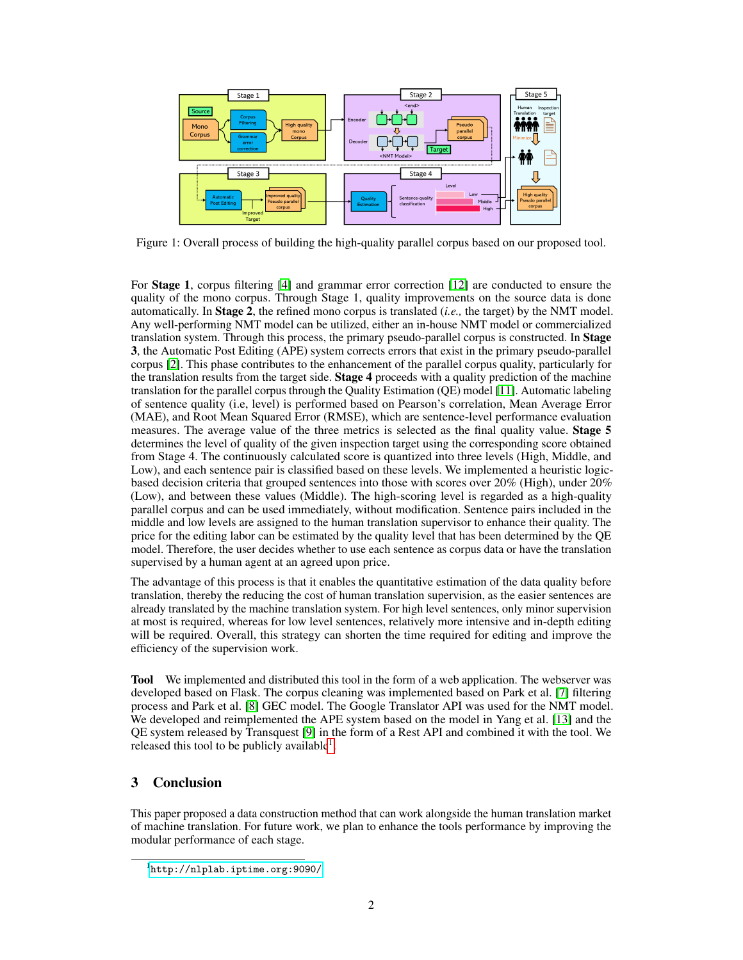

<span id="page-1-0"></span>Figure 1: Overall process of building the high-quality parallel corpus based on our proposed tool.

For Stage 1, corpus filtering [\[4\]](#page-2-3) and grammar error correction [\[12\]](#page-2-4) are conducted to ensure the quality of the mono corpus. Through Stage 1, quality improvements on the source data is done automatically. In Stage 2, the refined mono corpus is translated (*i.e.,* the target) by the NMT model. Any well-performing NMT model can be utilized, either an in-house NMT model or commercialized translation system. Through this process, the primary pseudo-parallel corpus is constructed. In Stage 3, the Automatic Post Editing (APE) system corrects errors that exist in the primary pseudo-parallel corpus [\[2\]](#page-2-7). This phase contributes to the enhancement of the parallel corpus quality, particularly for the translation results from the target side. **Stage 4** proceeds with a quality prediction of the machine translation for the parallel corpus through the Quality Estimation (QE) model [\[11\]](#page-2-8). Automatic labeling of sentence quality (i.e, level) is performed based on Pearson's correlation, Mean Average Error (MAE), and Root Mean Squared Error (RMSE), which are sentence-level performance evaluation measures. The average value of the three metrics is selected as the final quality value. Stage 5 determines the level of quality of the given inspection target using the corresponding score obtained from Stage 4. The continuously calculated score is quantized into three levels (High, Middle, and Low), and each sentence pair is classified based on these levels. We implemented a heuristic logicbased decision criteria that grouped sentences into those with scores over 20% (High), under 20% (Low), and between these values (Middle). The high-scoring level is regarded as a high-quality parallel corpus and can be used immediately, without modification. Sentence pairs included in the middle and low levels are assigned to the human translation supervisor to enhance their quality. The price for the editing labor can be estimated by the quality level that has been determined by the QE model. Therefore, the user decides whether to use each sentence as corpus data or have the translation supervised by a human agent at an agreed upon price.

The advantage of this process is that it enables the quantitative estimation of the data quality before translation, thereby the reducing the cost of human translation supervision, as the easier sentences are already translated by the machine translation system. For high level sentences, only minor supervision at most is required, whereas for low level sentences, relatively more intensive and in-depth editing will be required. Overall, this strategy can shorten the time required for editing and improve the efficiency of the supervision work.

Tool We implemented and distributed this tool in the form of a web application. The webserver was developed based on Flask. The corpus cleaning was implemented based on Park et al. [\[7\]](#page-2-9) filtering process and Park et al. [\[8\]](#page-2-10) GEC model. The Google Translator API was used for the NMT model. We developed and reimplemented the APE system based on the model in Yang et al. [\[13\]](#page-2-11) and the QE system released by Transquest [\[9\]](#page-2-12) in the form of a Rest API and combined it with the tool. We released this tool to be publicly available<sup>[1](#page-1-1)</sup>.

# 3 Conclusion

This paper proposed a data construction method that can work alongside the human translation market of machine translation. For future work, we plan to enhance the tools performance by improving the modular performance of each stage.

<span id="page-1-1"></span><sup>1</sup> <http://nlplab.iptime.org:9090/>